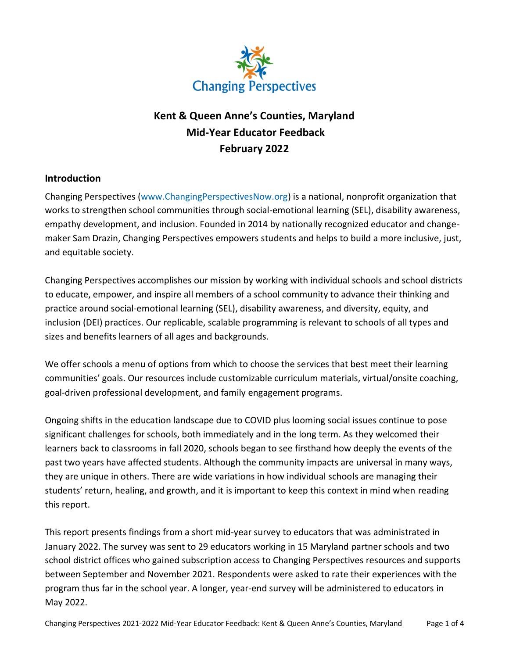

# **Kent & Queen Anne's Counties, Maryland Mid-Year Educator Feedback February 2022**

## **Introduction**

Changing Perspectives [\(www.ChangingPerspectivesNow.org\)](http://www.changingperspectivesnow.org/) is a national, nonprofit organization that works to strengthen school communities through social-emotional learning (SEL), disability awareness, empathy development, and inclusion. Founded in 2014 by nationally recognized educator and changemaker Sam Drazin, Changing Perspectives empowers students and helps to build a more inclusive, just, and equitable society.

Changing Perspectives accomplishes our mission by working with individual schools and school districts to educate, empower, and inspire all members of a school community to advance their thinking and practice around social-emotional learning (SEL), disability awareness, and diversity, equity, and inclusion (DEI) practices. Our replicable, scalable programming is relevant to schools of all types and sizes and benefits learners of all ages and backgrounds.

We offer schools a menu of options from which to choose the services that best meet their learning communities' goals. Our resources include customizable curriculum materials, virtual/onsite coaching, goal-driven professional development, and family engagement programs.

Ongoing shifts in the education landscape due to COVID plus looming social issues continue to pose significant challenges for schools, both immediately and in the long term. As they welcomed their learners back to classrooms in fall 2020, schools began to see firsthand how deeply the events of the past two years have affected students. Although the community impacts are universal in many ways, they are unique in others. There are wide variations in how individual schools are managing their students' return, healing, and growth, and it is important to keep this context in mind when reading this report.

This report presents findings from a short mid-year survey to educators that was administrated in January 2022. The survey was sent to 29 educators working in 15 Maryland partner schools and two school district offices who gained subscription access to Changing Perspectives resources and supports between September and November 2021. Respondents were asked to rate their experiences with the program thus far in the school year. A longer, year-end survey will be administered to educators in May 2022.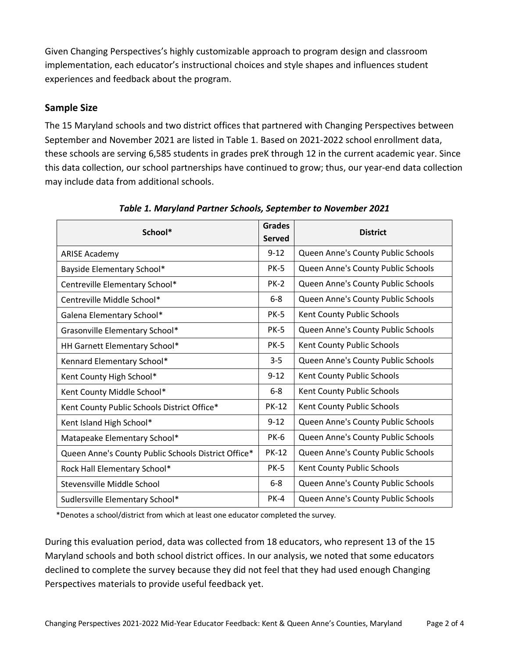Given Changing Perspectives's highly customizable approach to program design and classroom implementation, each educator's instructional choices and style shapes and influences student experiences and feedback about the program.

## **Sample Size**

The 15 Maryland schools and two district offices that partnered with Changing Perspectives between September and November 2021 are listed in Table 1. Based on 2021-2022 school enrollment data, these schools are serving 6,585 students in grades preK through 12 in the current academic year. Since this data collection, our school partnerships have continued to grow; thus, our year-end data collection may include data from additional schools.

| School*                                             |               | <b>District</b>                    |  |
|-----------------------------------------------------|---------------|------------------------------------|--|
|                                                     | <b>Served</b> |                                    |  |
| <b>ARISE Academy</b>                                | $9 - 12$      | Queen Anne's County Public Schools |  |
| Bayside Elementary School*                          | <b>PK-5</b>   | Queen Anne's County Public Schools |  |
| Centreville Elementary School*                      | $PK-2$        | Queen Anne's County Public Schools |  |
| Centreville Middle School*                          | $6-8$         | Queen Anne's County Public Schools |  |
| Galena Elementary School*                           | <b>PK-5</b>   | Kent County Public Schools         |  |
| Grasonville Elementary School*                      | <b>PK-5</b>   | Queen Anne's County Public Schools |  |
| HH Garnett Elementary School*                       | <b>PK-5</b>   | Kent County Public Schools         |  |
| Kennard Elementary School*                          | $3 - 5$       | Queen Anne's County Public Schools |  |
| Kent County High School*                            | $9 - 12$      | Kent County Public Schools         |  |
| Kent County Middle School*                          | $6 - 8$       | Kent County Public Schools         |  |
| Kent County Public Schools District Office*         | <b>PK-12</b>  | Kent County Public Schools         |  |
| Kent Island High School*                            | $9 - 12$      | Queen Anne's County Public Schools |  |
| Matapeake Elementary School*                        | <b>PK-6</b>   | Queen Anne's County Public Schools |  |
| Queen Anne's County Public Schools District Office* | <b>PK-12</b>  | Queen Anne's County Public Schools |  |
| Rock Hall Elementary School*                        | <b>PK-5</b>   | Kent County Public Schools         |  |
| Stevensville Middle School                          | $6-8$         | Queen Anne's County Public Schools |  |
| Sudlersville Elementary School*                     | $PK-4$        | Queen Anne's County Public Schools |  |

*Table 1. Maryland Partner Schools, September to November 2021*

\*Denotes a school/district from which at least one educator completed the survey.

During this evaluation period, data was collected from 18 educators, who represent 13 of the 15 Maryland schools and both school district offices. In our analysis, we noted that some educators declined to complete the survey because they did not feel that they had used enough Changing Perspectives materials to provide useful feedback yet.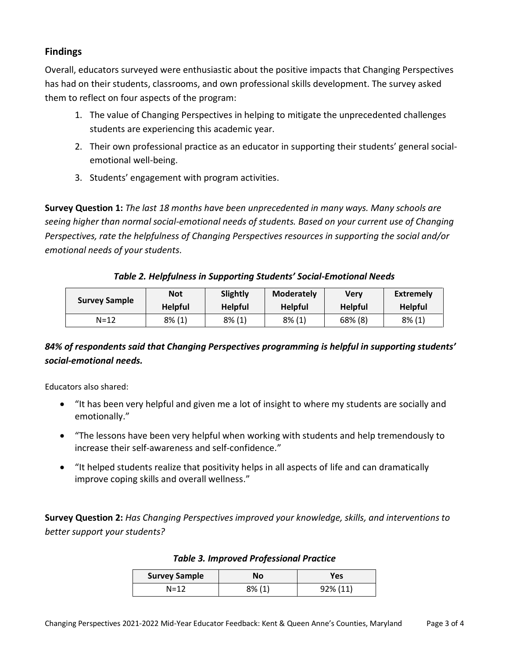## **Findings**

Overall, educators surveyed were enthusiastic about the positive impacts that Changing Perspectives has had on their students, classrooms, and own professional skills development. The survey asked them to reflect on four aspects of the program:

- 1. The value of Changing Perspectives in helping to mitigate the unprecedented challenges students are experiencing this academic year.
- 2. Their own professional practice as an educator in supporting their students' general socialemotional well-being.
- 3. Students' engagement with program activities.

**Survey Question 1:** *The last 18 months have been unprecedented in many ways. Many schools are seeing higher than normal social-emotional needs of students. Based on your current use of Changing Perspectives, rate the helpfulness of Changing Perspectives resources in supporting the social and/or emotional needs of your students.*

*Table 2. Helpfulness in Supporting Students' Social-Emotional Needs*

| <b>Survey Sample</b> | <b>Not</b>     | Slightly       | <b>Moderately</b> | Verv           | Extremely      |
|----------------------|----------------|----------------|-------------------|----------------|----------------|
|                      | <b>Helpful</b> | <b>Helpful</b> | <b>Helpful</b>    | <b>Helpful</b> | <b>Helpful</b> |
| $N = 12$             | $8\%$ (1)      | $8\%$ (1)      | $8\%$ (1)         | 68% (8)        | $8\%$ (1)      |

# *84% of respondents said that Changing Perspectives programming is helpful in supporting students' social-emotional needs.*

Educators also shared:

- "It has been very helpful and given me a lot of insight to where my students are socially and emotionally."
- "The lessons have been very helpful when working with students and help tremendously to increase their self-awareness and self-confidence."
- "It helped students realize that positivity helps in all aspects of life and can dramatically improve coping skills and overall wellness."

**Survey Question 2:** *Has Changing Perspectives improved your knowledge, skills, and interventions to better support your students?*

| <b>Survey Sample</b> | <b>No</b> | Yes         |  |
|----------------------|-----------|-------------|--|
| N=12                 | 8% (1)    | $92\%$ (11) |  |

#### *Table 3. Improved Professional Practice*